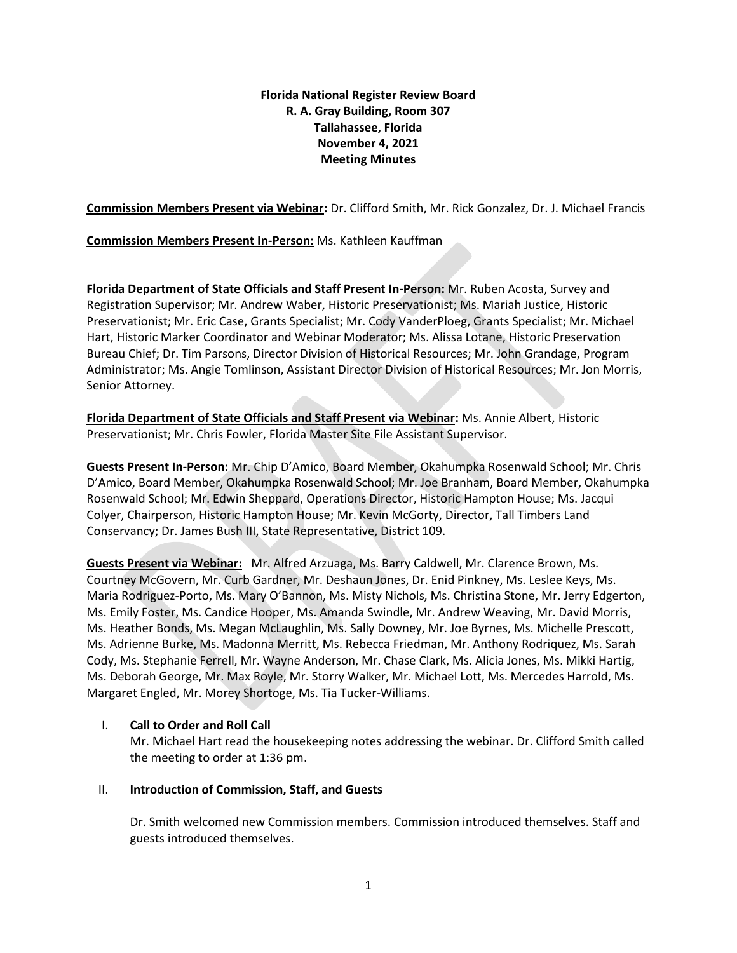# **Florida National Register Review Board R. A. Gray Building, Room 307 Tallahassee, Florida November 4, 2021 Meeting Minutes**

**Commission Members Present via Webinar:** Dr. Clifford Smith, Mr. Rick Gonzalez, Dr. J. Michael Francis

**Commission Members Present In-Person:** Ms. Kathleen Kauffman

**Florida Department of State Officials and Staff Present In-Person:** Mr. Ruben Acosta, Survey and Registration Supervisor; Mr. Andrew Waber, Historic Preservationist; Ms. Mariah Justice, Historic Preservationist; Mr. Eric Case, Grants Specialist; Mr. Cody VanderPloeg, Grants Specialist; Mr. Michael Hart, Historic Marker Coordinator and Webinar Moderator; Ms. Alissa Lotane, Historic Preservation Bureau Chief; Dr. Tim Parsons, Director Division of Historical Resources; Mr. John Grandage, Program Administrator; Ms. Angie Tomlinson, Assistant Director Division of Historical Resources; Mr. Jon Morris, Senior Attorney.

**Florida Department of State Officials and Staff Present via Webinar:** Ms. Annie Albert, Historic Preservationist; Mr. Chris Fowler, Florida Master Site File Assistant Supervisor.

**Guests Present In-Person:** Mr. Chip D'Amico, Board Member, Okahumpka Rosenwald School; Mr. Chris D'Amico, Board Member, Okahumpka Rosenwald School; Mr. Joe Branham, Board Member, Okahumpka Rosenwald School; Mr. Edwin Sheppard, Operations Director, Historic Hampton House; Ms. Jacqui Colyer, Chairperson, Historic Hampton House; Mr. Kevin McGorty, Director, Tall Timbers Land Conservancy; Dr. James Bush III, State Representative, District 109.

**Guests Present via Webinar:** Mr. Alfred Arzuaga, Ms. Barry Caldwell, Mr. Clarence Brown, Ms. Courtney McGovern, Mr. Curb Gardner, Mr. Deshaun Jones, Dr. Enid Pinkney, Ms. Leslee Keys, Ms. Maria Rodriguez-Porto, Ms. Mary O'Bannon, Ms. Misty Nichols, Ms. Christina Stone, Mr. Jerry Edgerton, Ms. Emily Foster, Ms. Candice Hooper, Ms. Amanda Swindle, Mr. Andrew Weaving, Mr. David Morris, Ms. Heather Bonds, Ms. Megan McLaughlin, Ms. Sally Downey, Mr. Joe Byrnes, Ms. Michelle Prescott, Ms. Adrienne Burke, Ms. Madonna Merritt, Ms. Rebecca Friedman, Mr. Anthony Rodriquez, Ms. Sarah Cody, Ms. Stephanie Ferrell, Mr. Wayne Anderson, Mr. Chase Clark, Ms. Alicia Jones, Ms. Mikki Hartig, Ms. Deborah George, Mr. Max Royle, Mr. Storry Walker, Mr. Michael Lott, Ms. Mercedes Harrold, Ms. Margaret Engled, Mr. Morey Shortoge, Ms. Tia Tucker-Williams.

# I. **Call to Order and Roll Call**

Mr. Michael Hart read the housekeeping notes addressing the webinar. Dr. Clifford Smith called the meeting to order at 1:36 pm.

# II. **Introduction of Commission, Staff, and Guests**

Dr. Smith welcomed new Commission members. Commission introduced themselves. Staff and guests introduced themselves.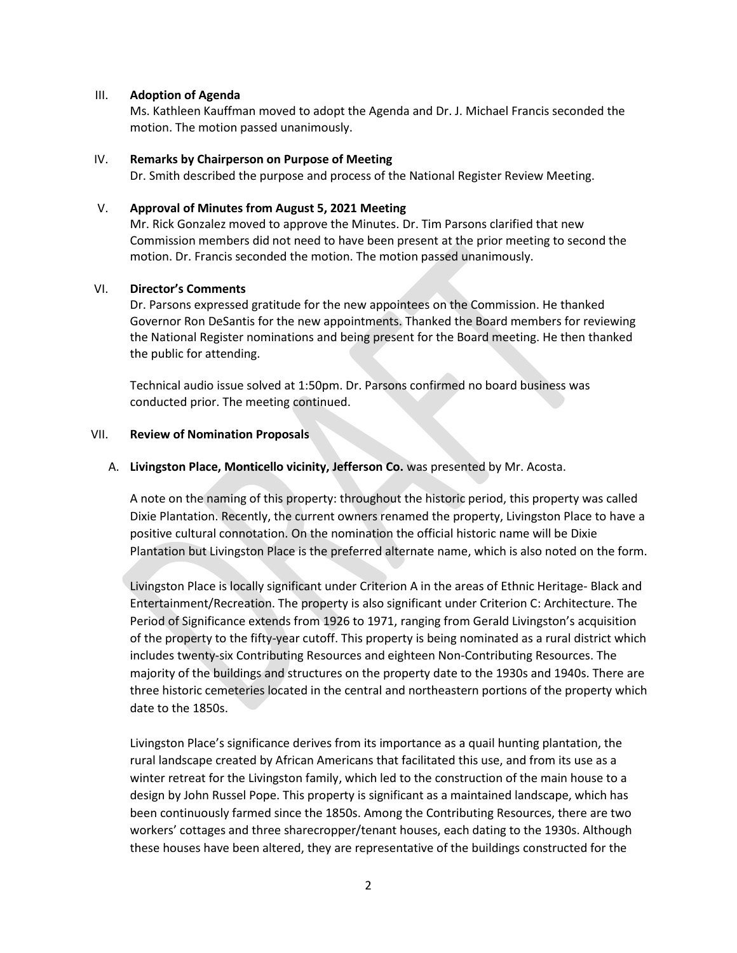### III. **Adoption of Agenda**

Ms. Kathleen Kauffman moved to adopt the Agenda and Dr. J. Michael Francis seconded the motion. The motion passed unanimously.

### IV. **Remarks by Chairperson on Purpose of Meeting**

Dr. Smith described the purpose and process of the National Register Review Meeting.

### V. **Approval of Minutes from August 5, 2021 Meeting**

Mr. Rick Gonzalez moved to approve the Minutes. Dr. Tim Parsons clarified that new Commission members did not need to have been present at the prior meeting to second the motion. Dr. Francis seconded the motion. The motion passed unanimously.

### VI. **Director's Comments**

Dr. Parsons expressed gratitude for the new appointees on the Commission. He thanked Governor Ron DeSantis for the new appointments. Thanked the Board members for reviewing the National Register nominations and being present for the Board meeting. He then thanked the public for attending.

Technical audio issue solved at 1:50pm. Dr. Parsons confirmed no board business was conducted prior. The meeting continued.

### VII. **Review of Nomination Proposals**

### A. **Livingston Place, Monticello vicinity, Jefferson Co.** was presented by Mr. Acosta.

A note on the naming of this property: throughout the historic period, this property was called Dixie Plantation. Recently, the current owners renamed the property, Livingston Place to have a positive cultural connotation. On the nomination the official historic name will be Dixie Plantation but Livingston Place is the preferred alternate name, which is also noted on the form.

Livingston Place is locally significant under Criterion A in the areas of Ethnic Heritage- Black and Entertainment/Recreation. The property is also significant under Criterion C: Architecture. The Period of Significance extends from 1926 to 1971, ranging from Gerald Livingston's acquisition of the property to the fifty-year cutoff. This property is being nominated as a rural district which includes twenty-six Contributing Resources and eighteen Non-Contributing Resources. The majority of the buildings and structures on the property date to the 1930s and 1940s. There are three historic cemeteries located in the central and northeastern portions of the property which date to the 1850s.

Livingston Place's significance derives from its importance as a quail hunting plantation, the rural landscape created by African Americans that facilitated this use, and from its use as a winter retreat for the Livingston family, which led to the construction of the main house to a design by John Russel Pope. This property is significant as a maintained landscape, which has been continuously farmed since the 1850s. Among the Contributing Resources, there are two workers' cottages and three sharecropper/tenant houses, each dating to the 1930s. Although these houses have been altered, they are representative of the buildings constructed for the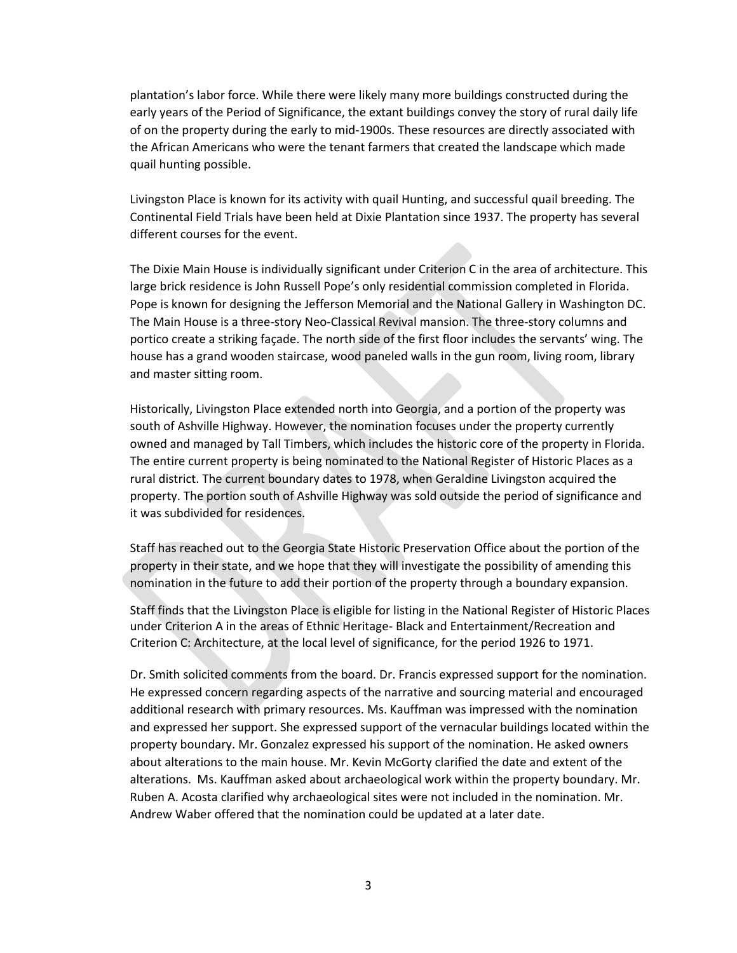plantation's labor force. While there were likely many more buildings constructed during the early years of the Period of Significance, the extant buildings convey the story of rural daily life of on the property during the early to mid-1900s. These resources are directly associated with the African Americans who were the tenant farmers that created the landscape which made quail hunting possible.

Livingston Place is known for its activity with quail Hunting, and successful quail breeding. The Continental Field Trials have been held at Dixie Plantation since 1937. The property has several different courses for the event.

The Dixie Main House is individually significant under Criterion C in the area of architecture. This large brick residence is John Russell Pope's only residential commission completed in Florida. Pope is known for designing the Jefferson Memorial and the National Gallery in Washington DC. The Main House is a three-story Neo-Classical Revival mansion. The three-story columns and portico create a striking façade. The north side of the first floor includes the servants' wing. The house has a grand wooden staircase, wood paneled walls in the gun room, living room, library and master sitting room.

Historically, Livingston Place extended north into Georgia, and a portion of the property was south of Ashville Highway. However, the nomination focuses under the property currently owned and managed by Tall Timbers, which includes the historic core of the property in Florida. The entire current property is being nominated to the National Register of Historic Places as a rural district. The current boundary dates to 1978, when Geraldine Livingston acquired the property. The portion south of Ashville Highway was sold outside the period of significance and it was subdivided for residences.

Staff has reached out to the Georgia State Historic Preservation Office about the portion of the property in their state, and we hope that they will investigate the possibility of amending this nomination in the future to add their portion of the property through a boundary expansion.

Staff finds that the Livingston Place is eligible for listing in the National Register of Historic Places under Criterion A in the areas of Ethnic Heritage- Black and Entertainment/Recreation and Criterion C: Architecture, at the local level of significance, for the period 1926 to 1971.

Dr. Smith solicited comments from the board. Dr. Francis expressed support for the nomination. He expressed concern regarding aspects of the narrative and sourcing material and encouraged additional research with primary resources. Ms. Kauffman was impressed with the nomination and expressed her support. She expressed support of the vernacular buildings located within the property boundary. Mr. Gonzalez expressed his support of the nomination. He asked owners about alterations to the main house. Mr. Kevin McGorty clarified the date and extent of the alterations. Ms. Kauffman asked about archaeological work within the property boundary. Mr. Ruben A. Acosta clarified why archaeological sites were not included in the nomination. Mr. Andrew Waber offered that the nomination could be updated at a later date.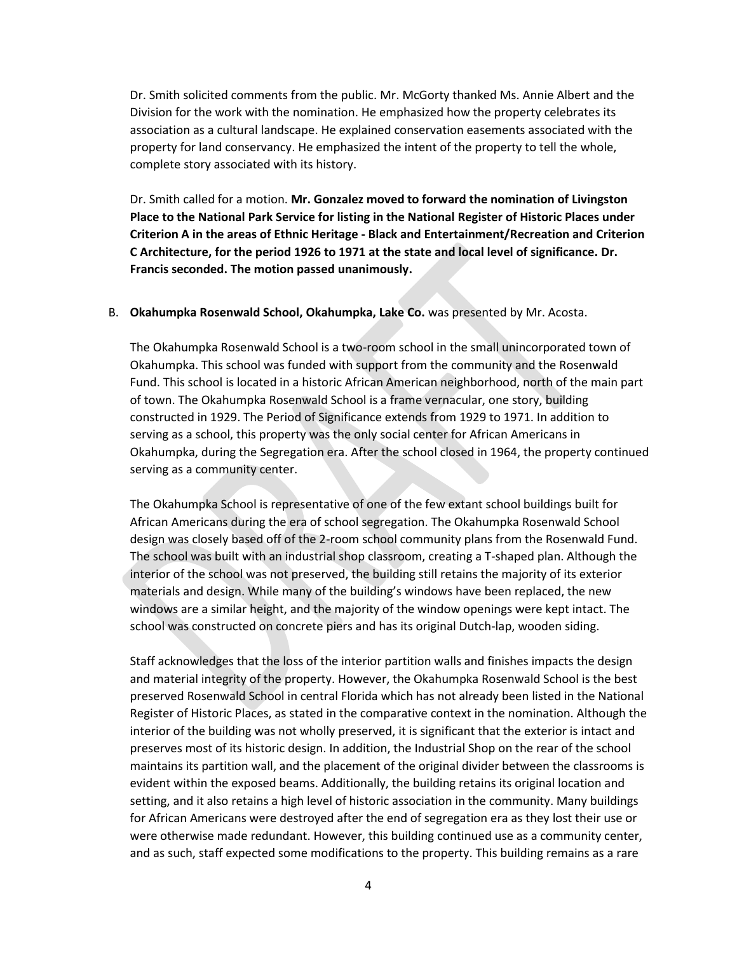Dr. Smith solicited comments from the public. Mr. McGorty thanked Ms. Annie Albert and the Division for the work with the nomination. He emphasized how the property celebrates its association as a cultural landscape. He explained conservation easements associated with the property for land conservancy. He emphasized the intent of the property to tell the whole, complete story associated with its history.

Dr. Smith called for a motion. **Mr. Gonzalez moved to forward the nomination of Livingston Place to the National Park Service for listing in the National Register of Historic Places under Criterion A in the areas of Ethnic Heritage - Black and Entertainment/Recreation and Criterion C Architecture, for the period 1926 to 1971 at the state and local level of significance. Dr. Francis seconded. The motion passed unanimously.** 

#### B. **Okahumpka Rosenwald School, Okahumpka, Lake Co.** was presented by Mr. Acosta.

The Okahumpka Rosenwald School is a two-room school in the small unincorporated town of Okahumpka. This school was funded with support from the community and the Rosenwald Fund. This school is located in a historic African American neighborhood, north of the main part of town. The Okahumpka Rosenwald School is a frame vernacular, one story, building constructed in 1929. The Period of Significance extends from 1929 to 1971. In addition to serving as a school, this property was the only social center for African Americans in Okahumpka, during the Segregation era. After the school closed in 1964, the property continued serving as a community center.

The Okahumpka School is representative of one of the few extant school buildings built for African Americans during the era of school segregation. The Okahumpka Rosenwald School design was closely based off of the 2-room school community plans from the Rosenwald Fund. The school was built with an industrial shop classroom, creating a T-shaped plan. Although the interior of the school was not preserved, the building still retains the majority of its exterior materials and design. While many of the building's windows have been replaced, the new windows are a similar height, and the majority of the window openings were kept intact. The school was constructed on concrete piers and has its original Dutch-lap, wooden siding.

Staff acknowledges that the loss of the interior partition walls and finishes impacts the design and material integrity of the property. However, the Okahumpka Rosenwald School is the best preserved Rosenwald School in central Florida which has not already been listed in the National Register of Historic Places, as stated in the comparative context in the nomination. Although the interior of the building was not wholly preserved, it is significant that the exterior is intact and preserves most of its historic design. In addition, the Industrial Shop on the rear of the school maintains its partition wall, and the placement of the original divider between the classrooms is evident within the exposed beams. Additionally, the building retains its original location and setting, and it also retains a high level of historic association in the community. Many buildings for African Americans were destroyed after the end of segregation era as they lost their use or were otherwise made redundant. However, this building continued use as a community center, and as such, staff expected some modifications to the property. This building remains as a rare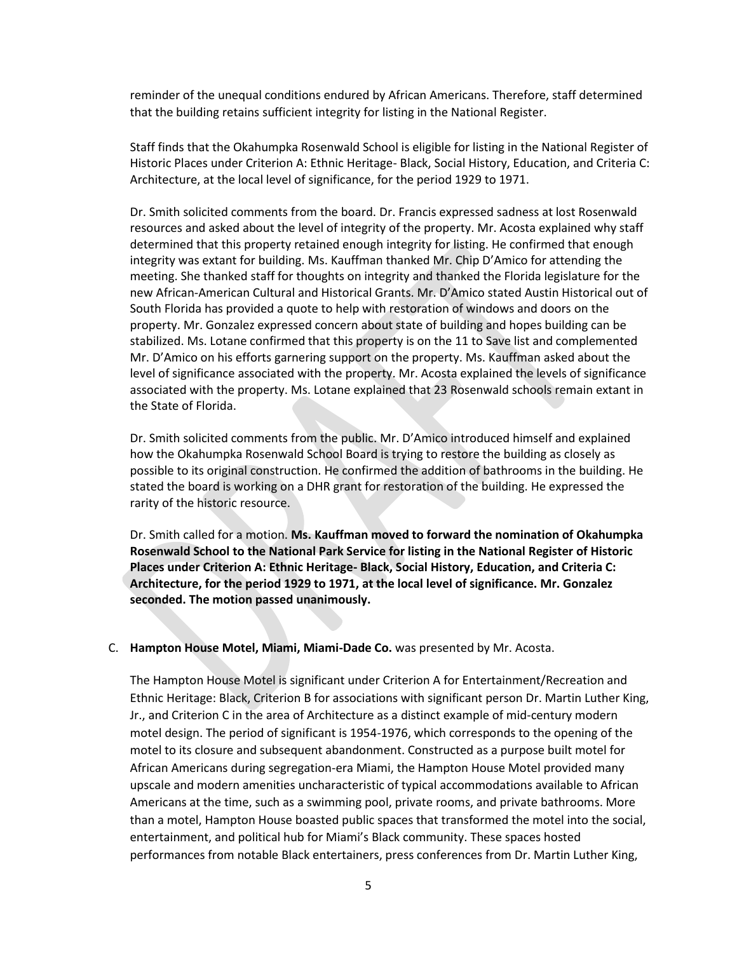reminder of the unequal conditions endured by African Americans. Therefore, staff determined that the building retains sufficient integrity for listing in the National Register.

Staff finds that the Okahumpka Rosenwald School is eligible for listing in the National Register of Historic Places under Criterion A: Ethnic Heritage- Black, Social History, Education, and Criteria C: Architecture, at the local level of significance, for the period 1929 to 1971.

Dr. Smith solicited comments from the board. Dr. Francis expressed sadness at lost Rosenwald resources and asked about the level of integrity of the property. Mr. Acosta explained why staff determined that this property retained enough integrity for listing. He confirmed that enough integrity was extant for building. Ms. Kauffman thanked Mr. Chip D'Amico for attending the meeting. She thanked staff for thoughts on integrity and thanked the Florida legislature for the new African-American Cultural and Historical Grants. Mr. D'Amico stated Austin Historical out of South Florida has provided a quote to help with restoration of windows and doors on the property. Mr. Gonzalez expressed concern about state of building and hopes building can be stabilized. Ms. Lotane confirmed that this property is on the 11 to Save list and complemented Mr. D'Amico on his efforts garnering support on the property. Ms. Kauffman asked about the level of significance associated with the property. Mr. Acosta explained the levels of significance associated with the property. Ms. Lotane explained that 23 Rosenwald schools remain extant in the State of Florida.

Dr. Smith solicited comments from the public. Mr. D'Amico introduced himself and explained how the Okahumpka Rosenwald School Board is trying to restore the building as closely as possible to its original construction. He confirmed the addition of bathrooms in the building. He stated the board is working on a DHR grant for restoration of the building. He expressed the rarity of the historic resource.

Dr. Smith called for a motion. **Ms. Kauffman moved to forward the nomination of Okahumpka Rosenwald School to the National Park Service for listing in the National Register of Historic Places under Criterion A: Ethnic Heritage- Black, Social History, Education, and Criteria C: Architecture, for the period 1929 to 1971, at the local level of significance. Mr. Gonzalez seconded. The motion passed unanimously.**

#### C. **Hampton House Motel, Miami, Miami-Dade Co.** was presented by Mr. Acosta.

The Hampton House Motel is significant under Criterion A for Entertainment/Recreation and Ethnic Heritage: Black, Criterion B for associations with significant person Dr. Martin Luther King, Jr., and Criterion C in the area of Architecture as a distinct example of mid-century modern motel design. The period of significant is 1954-1976, which corresponds to the opening of the motel to its closure and subsequent abandonment. Constructed as a purpose built motel for African Americans during segregation-era Miami, the Hampton House Motel provided many upscale and modern amenities uncharacteristic of typical accommodations available to African Americans at the time, such as a swimming pool, private rooms, and private bathrooms. More than a motel, Hampton House boasted public spaces that transformed the motel into the social, entertainment, and political hub for Miami's Black community. These spaces hosted performances from notable Black entertainers, press conferences from Dr. Martin Luther King,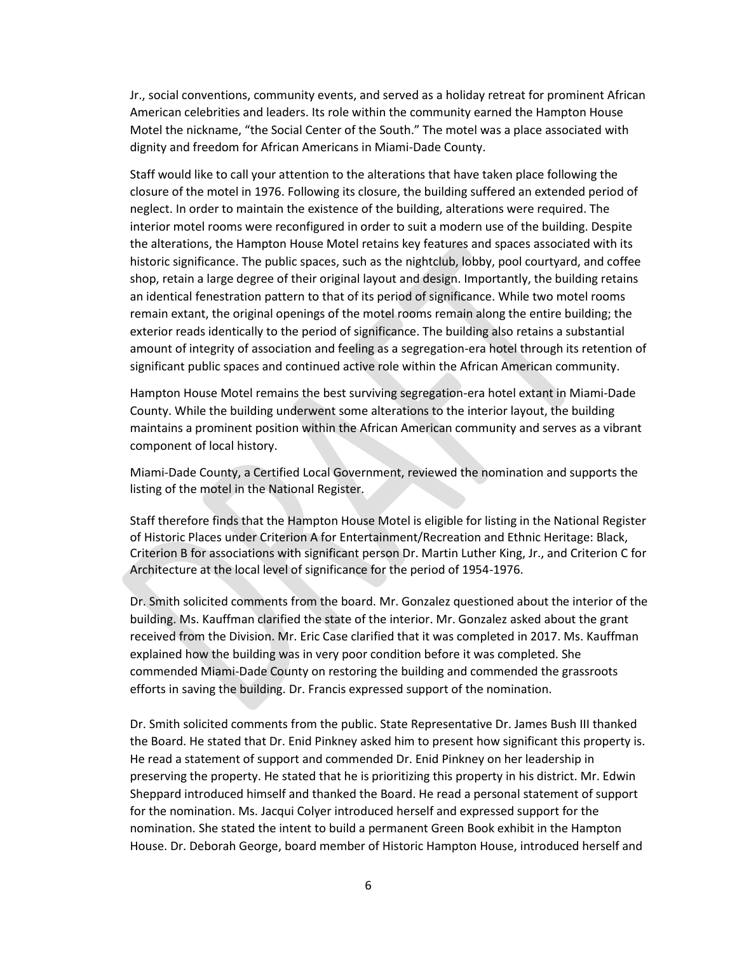Jr., social conventions, community events, and served as a holiday retreat for prominent African American celebrities and leaders. Its role within the community earned the Hampton House Motel the nickname, "the Social Center of the South." The motel was a place associated with dignity and freedom for African Americans in Miami-Dade County.

Staff would like to call your attention to the alterations that have taken place following the closure of the motel in 1976. Following its closure, the building suffered an extended period of neglect. In order to maintain the existence of the building, alterations were required. The interior motel rooms were reconfigured in order to suit a modern use of the building. Despite the alterations, the Hampton House Motel retains key features and spaces associated with its historic significance. The public spaces, such as the nightclub, lobby, pool courtyard, and coffee shop, retain a large degree of their original layout and design. Importantly, the building retains an identical fenestration pattern to that of its period of significance. While two motel rooms remain extant, the original openings of the motel rooms remain along the entire building; the exterior reads identically to the period of significance. The building also retains a substantial amount of integrity of association and feeling as a segregation-era hotel through its retention of significant public spaces and continued active role within the African American community.

Hampton House Motel remains the best surviving segregation-era hotel extant in Miami-Dade County. While the building underwent some alterations to the interior layout, the building maintains a prominent position within the African American community and serves as a vibrant component of local history.

Miami-Dade County, a Certified Local Government, reviewed the nomination and supports the listing of the motel in the National Register.

Staff therefore finds that the Hampton House Motel is eligible for listing in the National Register of Historic Places under Criterion A for Entertainment/Recreation and Ethnic Heritage: Black, Criterion B for associations with significant person Dr. Martin Luther King, Jr., and Criterion C for Architecture at the local level of significance for the period of 1954-1976.

Dr. Smith solicited comments from the board. Mr. Gonzalez questioned about the interior of the building. Ms. Kauffman clarified the state of the interior. Mr. Gonzalez asked about the grant received from the Division. Mr. Eric Case clarified that it was completed in 2017. Ms. Kauffman explained how the building was in very poor condition before it was completed. She commended Miami-Dade County on restoring the building and commended the grassroots efforts in saving the building. Dr. Francis expressed support of the nomination.

Dr. Smith solicited comments from the public. State Representative Dr. James Bush III thanked the Board. He stated that Dr. Enid Pinkney asked him to present how significant this property is. He read a statement of support and commended Dr. Enid Pinkney on her leadership in preserving the property. He stated that he is prioritizing this property in his district. Mr. Edwin Sheppard introduced himself and thanked the Board. He read a personal statement of support for the nomination. Ms. Jacqui Colyer introduced herself and expressed support for the nomination. She stated the intent to build a permanent Green Book exhibit in the Hampton House. Dr. Deborah George, board member of Historic Hampton House, introduced herself and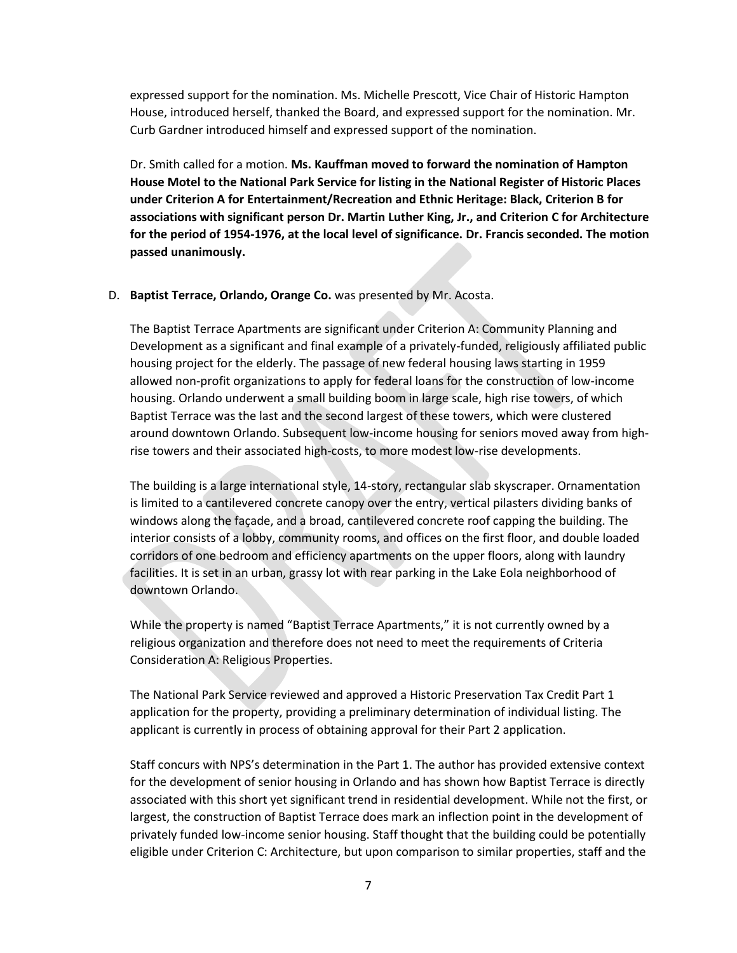expressed support for the nomination. Ms. Michelle Prescott, Vice Chair of Historic Hampton House, introduced herself, thanked the Board, and expressed support for the nomination. Mr. Curb Gardner introduced himself and expressed support of the nomination.

Dr. Smith called for a motion. **Ms. Kauffman moved to forward the nomination of Hampton House Motel to the National Park Service for listing in the National Register of Historic Places under Criterion A for Entertainment/Recreation and Ethnic Heritage: Black, Criterion B for associations with significant person Dr. Martin Luther King, Jr., and Criterion C for Architecture for the period of 1954-1976, at the local level of significance. Dr. Francis seconded. The motion passed unanimously.** 

#### D. **Baptist Terrace, Orlando, Orange Co.** was presented by Mr. Acosta.

The Baptist Terrace Apartments are significant under Criterion A: Community Planning and Development as a significant and final example of a privately-funded, religiously affiliated public housing project for the elderly. The passage of new federal housing laws starting in 1959 allowed non-profit organizations to apply for federal loans for the construction of low-income housing. Orlando underwent a small building boom in large scale, high rise towers, of which Baptist Terrace was the last and the second largest of these towers, which were clustered around downtown Orlando. Subsequent low-income housing for seniors moved away from highrise towers and their associated high-costs, to more modest low-rise developments.

The building is a large international style, 14-story, rectangular slab skyscraper. Ornamentation is limited to a cantilevered concrete canopy over the entry, vertical pilasters dividing banks of windows along the façade, and a broad, cantilevered concrete roof capping the building. The interior consists of a lobby, community rooms, and offices on the first floor, and double loaded corridors of one bedroom and efficiency apartments on the upper floors, along with laundry facilities. It is set in an urban, grassy lot with rear parking in the Lake Eola neighborhood of downtown Orlando.

While the property is named "Baptist Terrace Apartments," it is not currently owned by a religious organization and therefore does not need to meet the requirements of Criteria Consideration A: Religious Properties.

The National Park Service reviewed and approved a Historic Preservation Tax Credit Part 1 application for the property, providing a preliminary determination of individual listing. The applicant is currently in process of obtaining approval for their Part 2 application.

Staff concurs with NPS's determination in the Part 1. The author has provided extensive context for the development of senior housing in Orlando and has shown how Baptist Terrace is directly associated with this short yet significant trend in residential development. While not the first, or largest, the construction of Baptist Terrace does mark an inflection point in the development of privately funded low-income senior housing. Staff thought that the building could be potentially eligible under Criterion C: Architecture, but upon comparison to similar properties, staff and the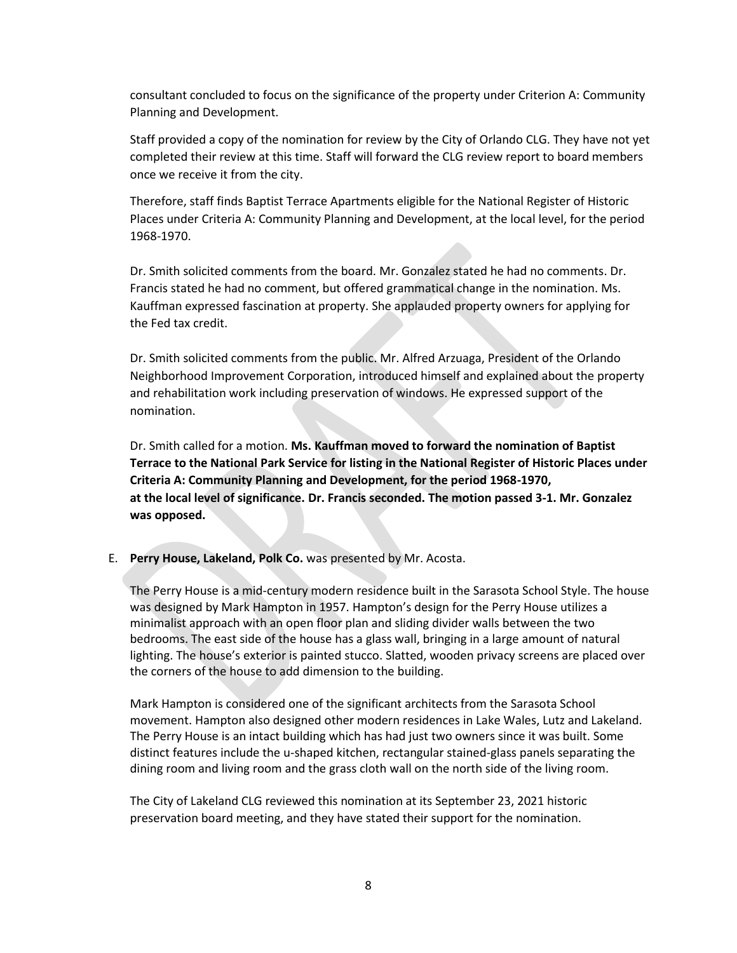consultant concluded to focus on the significance of the property under Criterion A: Community Planning and Development.

Staff provided a copy of the nomination for review by the City of Orlando CLG. They have not yet completed their review at this time. Staff will forward the CLG review report to board members once we receive it from the city.

Therefore, staff finds Baptist Terrace Apartments eligible for the National Register of Historic Places under Criteria A: Community Planning and Development, at the local level, for the period 1968-1970.

Dr. Smith solicited comments from the board. Mr. Gonzalez stated he had no comments. Dr. Francis stated he had no comment, but offered grammatical change in the nomination. Ms. Kauffman expressed fascination at property. She applauded property owners for applying for the Fed tax credit.

Dr. Smith solicited comments from the public. Mr. Alfred Arzuaga, President of the Orlando Neighborhood Improvement Corporation, introduced himself and explained about the property and rehabilitation work including preservation of windows. He expressed support of the nomination.

Dr. Smith called for a motion. **Ms. Kauffman moved to forward the nomination of Baptist Terrace to the National Park Service for listing in the National Register of Historic Places under Criteria A: Community Planning and Development, for the period 1968-1970, at the local level of significance. Dr. Francis seconded. The motion passed 3-1. Mr. Gonzalez was opposed.**

E. **Perry House, Lakeland, Polk Co.** was presented by Mr. Acosta.

The Perry House is a mid-century modern residence built in the Sarasota School Style. The house was designed by Mark Hampton in 1957. Hampton's design for the Perry House utilizes a minimalist approach with an open floor plan and sliding divider walls between the two bedrooms. The east side of the house has a glass wall, bringing in a large amount of natural lighting. The house's exterior is painted stucco. Slatted, wooden privacy screens are placed over the corners of the house to add dimension to the building.

Mark Hampton is considered one of the significant architects from the Sarasota School movement. Hampton also designed other modern residences in Lake Wales, Lutz and Lakeland. The Perry House is an intact building which has had just two owners since it was built. Some distinct features include the u-shaped kitchen, rectangular stained-glass panels separating the dining room and living room and the grass cloth wall on the north side of the living room.

The City of Lakeland CLG reviewed this nomination at its September 23, 2021 historic preservation board meeting, and they have stated their support for the nomination.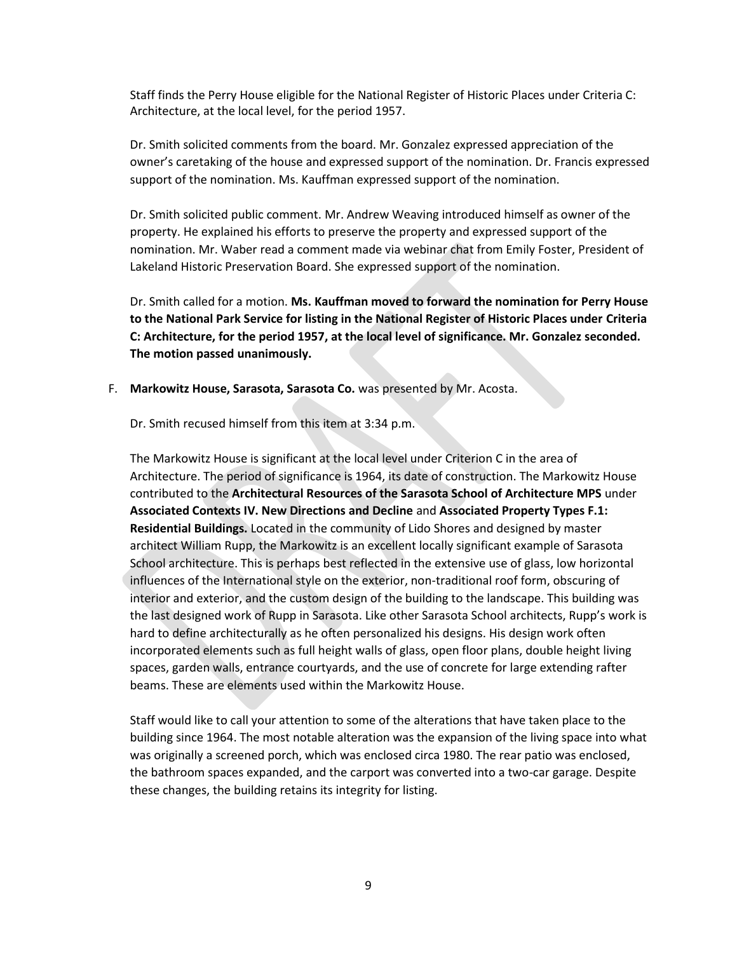Staff finds the Perry House eligible for the National Register of Historic Places under Criteria C: Architecture, at the local level, for the period 1957.

Dr. Smith solicited comments from the board. Mr. Gonzalez expressed appreciation of the owner's caretaking of the house and expressed support of the nomination. Dr. Francis expressed support of the nomination. Ms. Kauffman expressed support of the nomination.

Dr. Smith solicited public comment. Mr. Andrew Weaving introduced himself as owner of the property. He explained his efforts to preserve the property and expressed support of the nomination. Mr. Waber read a comment made via webinar chat from Emily Foster, President of Lakeland Historic Preservation Board. She expressed support of the nomination.

Dr. Smith called for a motion. **Ms. Kauffman moved to forward the nomination for Perry House to the National Park Service for listing in the National Register of Historic Places under Criteria C: Architecture, for the period 1957, at the local level of significance. Mr. Gonzalez seconded. The motion passed unanimously.** 

F. **Markowitz House, Sarasota, Sarasota Co.** was presented by Mr. Acosta.

Dr. Smith recused himself from this item at 3:34 p.m.

The Markowitz House is significant at the local level under Criterion C in the area of Architecture. The period of significance is 1964, its date of construction. The Markowitz House contributed to the **Architectural Resources of the Sarasota School of Architecture MPS** under **Associated Contexts IV. New Directions and Decline** and **Associated Property Types F.1: Residential Buildings.** Located in the community of Lido Shores and designed by master architect William Rupp, the Markowitz is an excellent locally significant example of Sarasota School architecture. This is perhaps best reflected in the extensive use of glass, low horizontal influences of the International style on the exterior, non-traditional roof form, obscuring of interior and exterior, and the custom design of the building to the landscape. This building was the last designed work of Rupp in Sarasota. Like other Sarasota School architects, Rupp's work is hard to define architecturally as he often personalized his designs. His design work often incorporated elements such as full height walls of glass, open floor plans, double height living spaces, garden walls, entrance courtyards, and the use of concrete for large extending rafter beams. These are elements used within the Markowitz House.

Staff would like to call your attention to some of the alterations that have taken place to the building since 1964. The most notable alteration was the expansion of the living space into what was originally a screened porch, which was enclosed circa 1980. The rear patio was enclosed, the bathroom spaces expanded, and the carport was converted into a two-car garage. Despite these changes, the building retains its integrity for listing.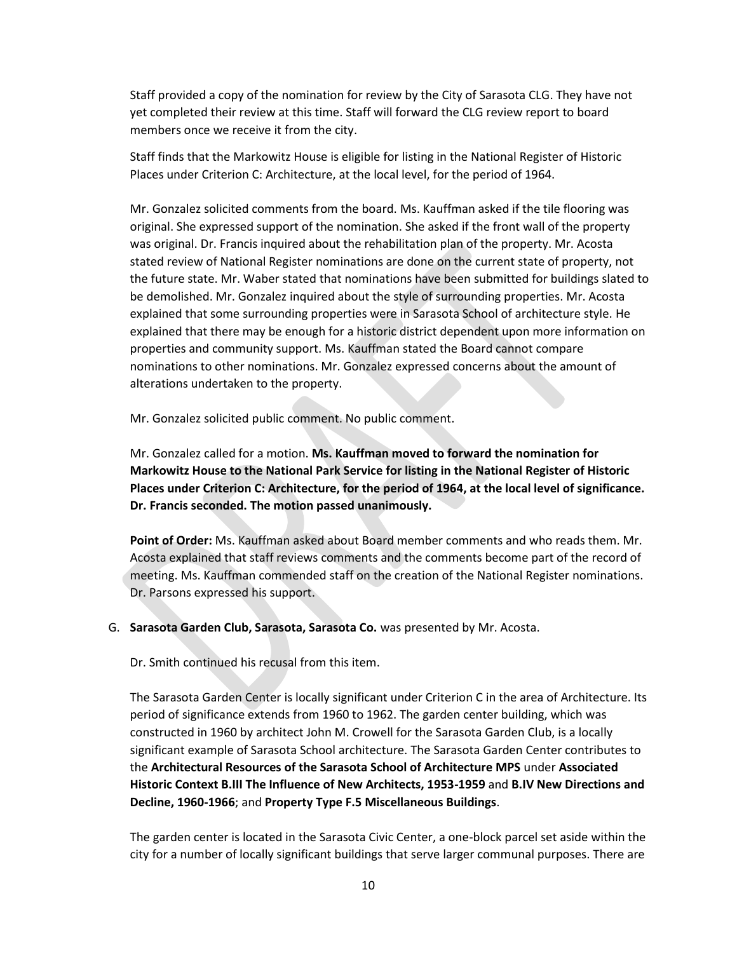Staff provided a copy of the nomination for review by the City of Sarasota CLG. They have not yet completed their review at this time. Staff will forward the CLG review report to board members once we receive it from the city.

Staff finds that the Markowitz House is eligible for listing in the National Register of Historic Places under Criterion C: Architecture, at the local level, for the period of 1964.

Mr. Gonzalez solicited comments from the board. Ms. Kauffman asked if the tile flooring was original. She expressed support of the nomination. She asked if the front wall of the property was original. Dr. Francis inquired about the rehabilitation plan of the property. Mr. Acosta stated review of National Register nominations are done on the current state of property, not the future state. Mr. Waber stated that nominations have been submitted for buildings slated to be demolished. Mr. Gonzalez inquired about the style of surrounding properties. Mr. Acosta explained that some surrounding properties were in Sarasota School of architecture style. He explained that there may be enough for a historic district dependent upon more information on properties and community support. Ms. Kauffman stated the Board cannot compare nominations to other nominations. Mr. Gonzalez expressed concerns about the amount of alterations undertaken to the property.

Mr. Gonzalez solicited public comment. No public comment.

Mr. Gonzalez called for a motion. **Ms. Kauffman moved to forward the nomination for Markowitz House to the National Park Service for listing in the National Register of Historic Places under Criterion C: Architecture, for the period of 1964, at the local level of significance. Dr. Francis seconded. The motion passed unanimously.**

**Point of Order:** Ms. Kauffman asked about Board member comments and who reads them. Mr. Acosta explained that staff reviews comments and the comments become part of the record of meeting. Ms. Kauffman commended staff on the creation of the National Register nominations. Dr. Parsons expressed his support.

#### G. **Sarasota Garden Club, Sarasota, Sarasota Co.** was presented by Mr. Acosta.

Dr. Smith continued his recusal from this item.

The Sarasota Garden Center is locally significant under Criterion C in the area of Architecture. Its period of significance extends from 1960 to 1962. The garden center building, which was constructed in 1960 by architect John M. Crowell for the Sarasota Garden Club, is a locally significant example of Sarasota School architecture. The Sarasota Garden Center contributes to the **Architectural Resources of the Sarasota School of Architecture MPS** under **Associated Historic Context B.III The Influence of New Architects, 1953-1959** and **B.IV New Directions and Decline, 1960-1966**; and **Property Type F.5 Miscellaneous Buildings**.

The garden center is located in the Sarasota Civic Center, a one-block parcel set aside within the city for a number of locally significant buildings that serve larger communal purposes. There are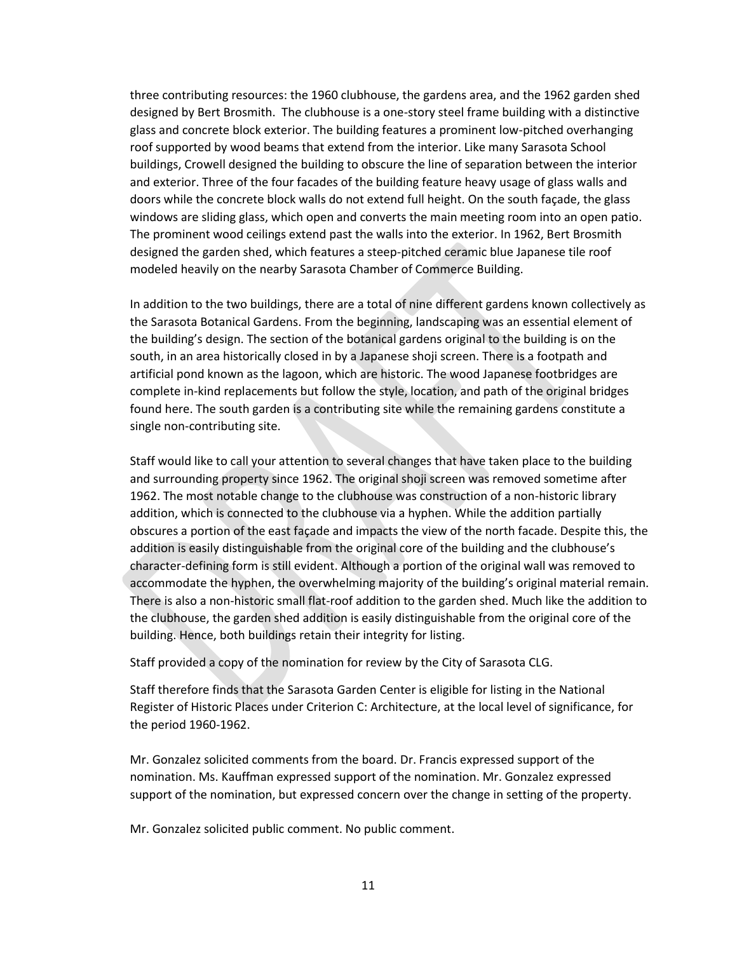three contributing resources: the 1960 clubhouse, the gardens area, and the 1962 garden shed designed by Bert Brosmith. The clubhouse is a one-story steel frame building with a distinctive glass and concrete block exterior. The building features a prominent low-pitched overhanging roof supported by wood beams that extend from the interior. Like many Sarasota School buildings, Crowell designed the building to obscure the line of separation between the interior and exterior. Three of the four facades of the building feature heavy usage of glass walls and doors while the concrete block walls do not extend full height. On the south façade, the glass windows are sliding glass, which open and converts the main meeting room into an open patio. The prominent wood ceilings extend past the walls into the exterior. In 1962, Bert Brosmith designed the garden shed, which features a steep-pitched ceramic blue Japanese tile roof modeled heavily on the nearby Sarasota Chamber of Commerce Building.

In addition to the two buildings, there are a total of nine different gardens known collectively as the Sarasota Botanical Gardens. From the beginning, landscaping was an essential element of the building's design. The section of the botanical gardens original to the building is on the south, in an area historically closed in by a Japanese shoji screen. There is a footpath and artificial pond known as the lagoon, which are historic. The wood Japanese footbridges are complete in-kind replacements but follow the style, location, and path of the original bridges found here. The south garden is a contributing site while the remaining gardens constitute a single non-contributing site.

Staff would like to call your attention to several changes that have taken place to the building and surrounding property since 1962. The original shoji screen was removed sometime after 1962. The most notable change to the clubhouse was construction of a non-historic library addition, which is connected to the clubhouse via a hyphen. While the addition partially obscures a portion of the east façade and impacts the view of the north facade. Despite this, the addition is easily distinguishable from the original core of the building and the clubhouse's character-defining form is still evident. Although a portion of the original wall was removed to accommodate the hyphen, the overwhelming majority of the building's original material remain. There is also a non-historic small flat-roof addition to the garden shed. Much like the addition to the clubhouse, the garden shed addition is easily distinguishable from the original core of the building. Hence, both buildings retain their integrity for listing.

Staff provided a copy of the nomination for review by the City of Sarasota CLG.

Staff therefore finds that the Sarasota Garden Center is eligible for listing in the National Register of Historic Places under Criterion C: Architecture, at the local level of significance, for the period 1960-1962.

Mr. Gonzalez solicited comments from the board. Dr. Francis expressed support of the nomination. Ms. Kauffman expressed support of the nomination. Mr. Gonzalez expressed support of the nomination, but expressed concern over the change in setting of the property.

Mr. Gonzalez solicited public comment. No public comment.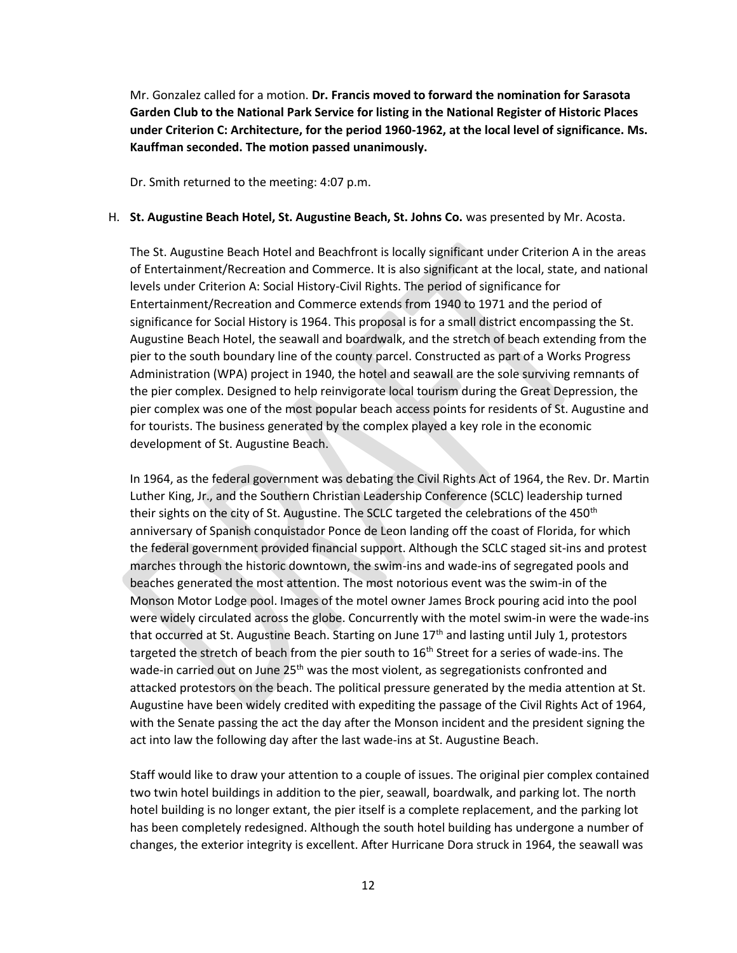Mr. Gonzalez called for a motion. **Dr. Francis moved to forward the nomination for Sarasota Garden Club to the National Park Service for listing in the National Register of Historic Places under Criterion C: Architecture, for the period 1960-1962, at the local level of significance. Ms. Kauffman seconded. The motion passed unanimously.**

Dr. Smith returned to the meeting: 4:07 p.m.

### H. **St. Augustine Beach Hotel, St. Augustine Beach, St. Johns Co.** was presented by Mr. Acosta.

The St. Augustine Beach Hotel and Beachfront is locally significant under Criterion A in the areas of Entertainment/Recreation and Commerce. It is also significant at the local, state, and national levels under Criterion A: Social History-Civil Rights. The period of significance for Entertainment/Recreation and Commerce extends from 1940 to 1971 and the period of significance for Social History is 1964. This proposal is for a small district encompassing the St. Augustine Beach Hotel, the seawall and boardwalk, and the stretch of beach extending from the pier to the south boundary line of the county parcel. Constructed as part of a Works Progress Administration (WPA) project in 1940, the hotel and seawall are the sole surviving remnants of the pier complex. Designed to help reinvigorate local tourism during the Great Depression, the pier complex was one of the most popular beach access points for residents of St. Augustine and for tourists. The business generated by the complex played a key role in the economic development of St. Augustine Beach.

In 1964, as the federal government was debating the Civil Rights Act of 1964, the Rev. Dr. Martin Luther King, Jr., and the Southern Christian Leadership Conference (SCLC) leadership turned their sights on the city of St. Augustine. The SCLC targeted the celebrations of the 450<sup>th</sup> anniversary of Spanish conquistador Ponce de Leon landing off the coast of Florida, for which the federal government provided financial support. Although the SCLC staged sit-ins and protest marches through the historic downtown, the swim-ins and wade-ins of segregated pools and beaches generated the most attention. The most notorious event was the swim-in of the Monson Motor Lodge pool. Images of the motel owner James Brock pouring acid into the pool were widely circulated across the globe. Concurrently with the motel swim-in were the wade-ins that occurred at St. Augustine Beach. Starting on June 17<sup>th</sup> and lasting until July 1, protestors targeted the stretch of beach from the pier south to 16<sup>th</sup> Street for a series of wade-ins. The wade-in carried out on June 25<sup>th</sup> was the most violent, as segregationists confronted and attacked protestors on the beach. The political pressure generated by the media attention at St. Augustine have been widely credited with expediting the passage of the Civil Rights Act of 1964, with the Senate passing the act the day after the Monson incident and the president signing the act into law the following day after the last wade-ins at St. Augustine Beach.

Staff would like to draw your attention to a couple of issues. The original pier complex contained two twin hotel buildings in addition to the pier, seawall, boardwalk, and parking lot. The north hotel building is no longer extant, the pier itself is a complete replacement, and the parking lot has been completely redesigned. Although the south hotel building has undergone a number of changes, the exterior integrity is excellent. After Hurricane Dora struck in 1964, the seawall was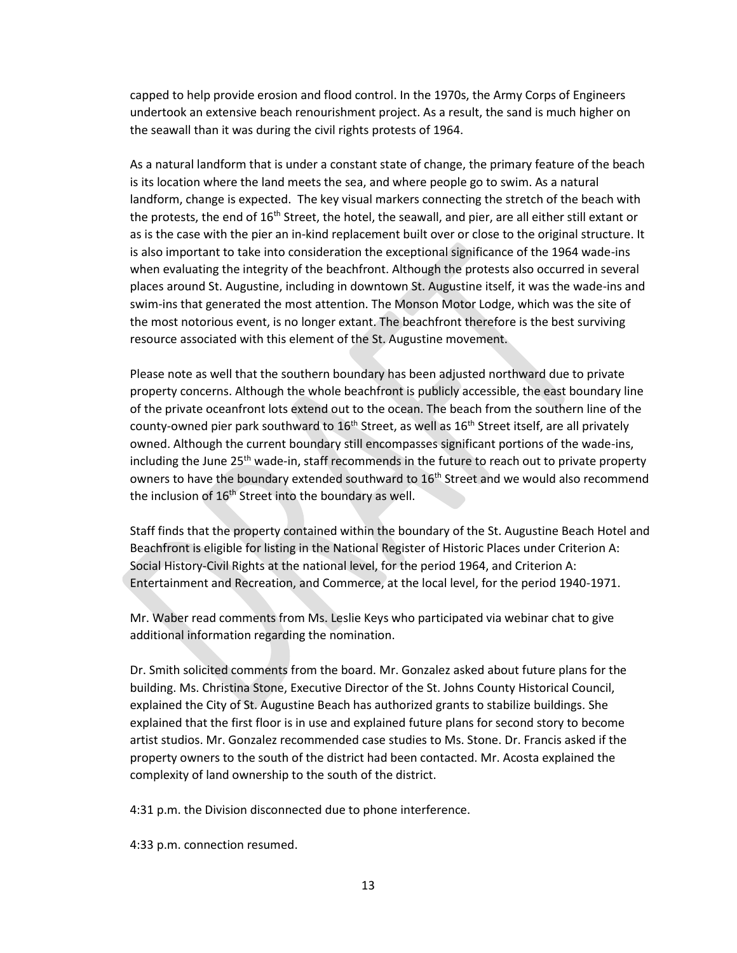capped to help provide erosion and flood control. In the 1970s, the Army Corps of Engineers undertook an extensive beach renourishment project. As a result, the sand is much higher on the seawall than it was during the civil rights protests of 1964.

As a natural landform that is under a constant state of change, the primary feature of the beach is its location where the land meets the sea, and where people go to swim. As a natural landform, change is expected. The key visual markers connecting the stretch of the beach with the protests, the end of  $16<sup>th</sup>$  Street, the hotel, the seawall, and pier, are all either still extant or as is the case with the pier an in-kind replacement built over or close to the original structure. It is also important to take into consideration the exceptional significance of the 1964 wade-ins when evaluating the integrity of the beachfront. Although the protests also occurred in several places around St. Augustine, including in downtown St. Augustine itself, it was the wade-ins and swim-ins that generated the most attention. The Monson Motor Lodge, which was the site of the most notorious event, is no longer extant. The beachfront therefore is the best surviving resource associated with this element of the St. Augustine movement.

Please note as well that the southern boundary has been adjusted northward due to private property concerns. Although the whole beachfront is publicly accessible, the east boundary line of the private oceanfront lots extend out to the ocean. The beach from the southern line of the county-owned pier park southward to  $16<sup>th</sup>$  Street, as well as  $16<sup>th</sup>$  Street itself, are all privately owned. Although the current boundary still encompasses significant portions of the wade-ins, including the June 25<sup>th</sup> wade-in, staff recommends in the future to reach out to private property owners to have the boundary extended southward to 16<sup>th</sup> Street and we would also recommend the inclusion of 16<sup>th</sup> Street into the boundary as well.

Staff finds that the property contained within the boundary of the St. Augustine Beach Hotel and Beachfront is eligible for listing in the National Register of Historic Places under Criterion A: Social History-Civil Rights at the national level, for the period 1964, and Criterion A: Entertainment and Recreation, and Commerce, at the local level, for the period 1940-1971.

Mr. Waber read comments from Ms. Leslie Keys who participated via webinar chat to give additional information regarding the nomination.

Dr. Smith solicited comments from the board. Mr. Gonzalez asked about future plans for the building. Ms. Christina Stone, Executive Director of the St. Johns County Historical Council, explained the City of St. Augustine Beach has authorized grants to stabilize buildings. She explained that the first floor is in use and explained future plans for second story to become artist studios. Mr. Gonzalez recommended case studies to Ms. Stone. Dr. Francis asked if the property owners to the south of the district had been contacted. Mr. Acosta explained the complexity of land ownership to the south of the district.

4:31 p.m. the Division disconnected due to phone interference.

4:33 p.m. connection resumed.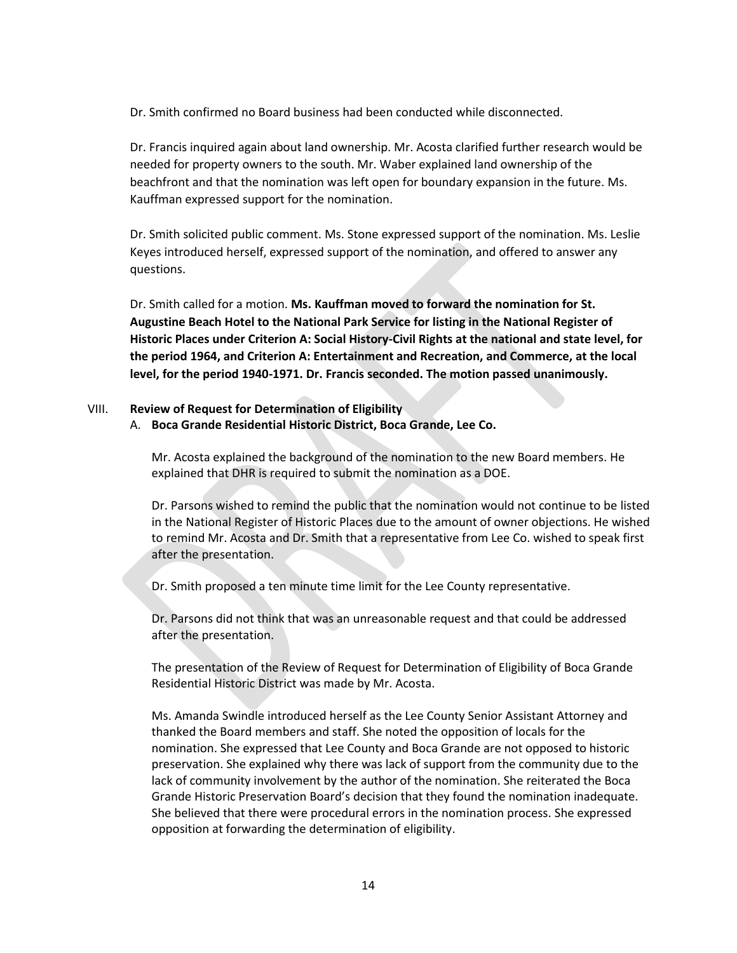Dr. Smith confirmed no Board business had been conducted while disconnected.

Dr. Francis inquired again about land ownership. Mr. Acosta clarified further research would be needed for property owners to the south. Mr. Waber explained land ownership of the beachfront and that the nomination was left open for boundary expansion in the future. Ms. Kauffman expressed support for the nomination.

Dr. Smith solicited public comment. Ms. Stone expressed support of the nomination. Ms. Leslie Keyes introduced herself, expressed support of the nomination, and offered to answer any questions.

Dr. Smith called for a motion. **Ms. Kauffman moved to forward the nomination for St. Augustine Beach Hotel to the National Park Service for listing in the National Register of Historic Places under Criterion A: Social History-Civil Rights at the national and state level, for the period 1964, and Criterion A: Entertainment and Recreation, and Commerce, at the local level, for the period 1940-1971. Dr. Francis seconded. The motion passed unanimously.**

### VIII. **Review of Request for Determination of Eligibility**

### A. **Boca Grande Residential Historic District, Boca Grande, Lee Co.**

Mr. Acosta explained the background of the nomination to the new Board members. He explained that DHR is required to submit the nomination as a DOE.

Dr. Parsons wished to remind the public that the nomination would not continue to be listed in the National Register of Historic Places due to the amount of owner objections. He wished to remind Mr. Acosta and Dr. Smith that a representative from Lee Co. wished to speak first after the presentation.

Dr. Smith proposed a ten minute time limit for the Lee County representative.

Dr. Parsons did not think that was an unreasonable request and that could be addressed after the presentation.

The presentation of the Review of Request for Determination of Eligibility of Boca Grande Residential Historic District was made by Mr. Acosta.

Ms. Amanda Swindle introduced herself as the Lee County Senior Assistant Attorney and thanked the Board members and staff. She noted the opposition of locals for the nomination. She expressed that Lee County and Boca Grande are not opposed to historic preservation. She explained why there was lack of support from the community due to the lack of community involvement by the author of the nomination. She reiterated the Boca Grande Historic Preservation Board's decision that they found the nomination inadequate. She believed that there were procedural errors in the nomination process. She expressed opposition at forwarding the determination of eligibility.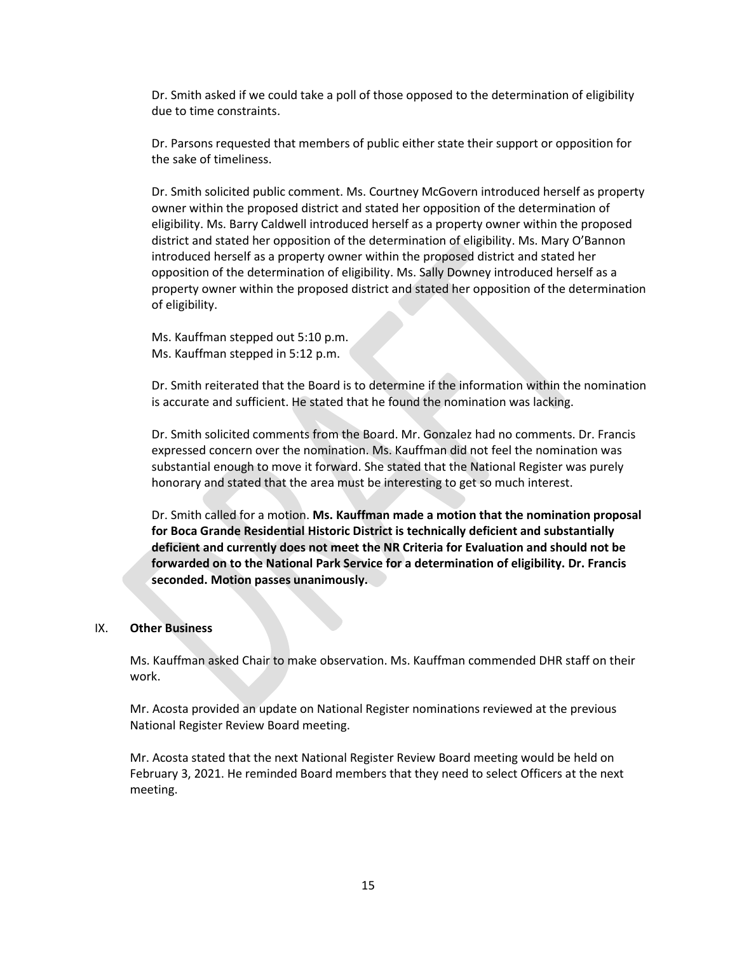Dr. Smith asked if we could take a poll of those opposed to the determination of eligibility due to time constraints.

Dr. Parsons requested that members of public either state their support or opposition for the sake of timeliness.

Dr. Smith solicited public comment. Ms. Courtney McGovern introduced herself as property owner within the proposed district and stated her opposition of the determination of eligibility. Ms. Barry Caldwell introduced herself as a property owner within the proposed district and stated her opposition of the determination of eligibility. Ms. Mary O'Bannon introduced herself as a property owner within the proposed district and stated her opposition of the determination of eligibility. Ms. Sally Downey introduced herself as a property owner within the proposed district and stated her opposition of the determination of eligibility.

Ms. Kauffman stepped out 5:10 p.m. Ms. Kauffman stepped in 5:12 p.m.

Dr. Smith reiterated that the Board is to determine if the information within the nomination is accurate and sufficient. He stated that he found the nomination was lacking.

Dr. Smith solicited comments from the Board. Mr. Gonzalez had no comments. Dr. Francis expressed concern over the nomination. Ms. Kauffman did not feel the nomination was substantial enough to move it forward. She stated that the National Register was purely honorary and stated that the area must be interesting to get so much interest.

Dr. Smith called for a motion. **Ms. Kauffman made a motion that the nomination proposal for Boca Grande Residential Historic District is technically deficient and substantially deficient and currently does not meet the NR Criteria for Evaluation and should not be forwarded on to the National Park Service for a determination of eligibility. Dr. Francis seconded. Motion passes unanimously.**

#### IX. **Other Business**

Ms. Kauffman asked Chair to make observation. Ms. Kauffman commended DHR staff on their work.

Mr. Acosta provided an update on National Register nominations reviewed at the previous National Register Review Board meeting.

Mr. Acosta stated that the next National Register Review Board meeting would be held on February 3, 2021. He reminded Board members that they need to select Officers at the next meeting.